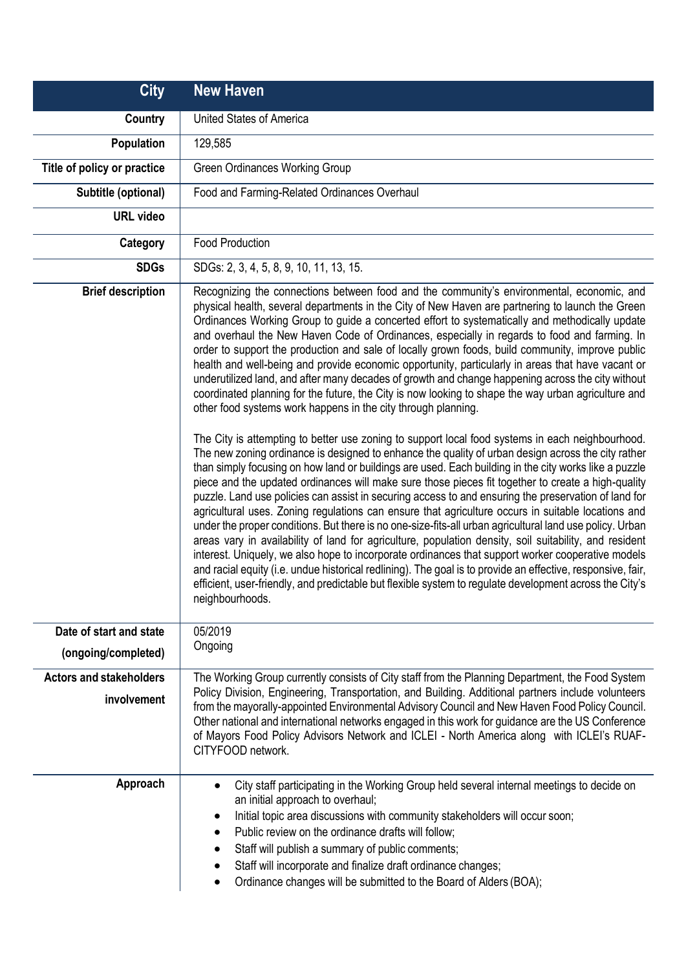| <b>City</b>                                    | <b>New Haven</b>                                                                                                                                                                                                                                                                                                                                                                                                                                                                                                                                                                                                                                                                                                                                                                                                                                                                                                                                                                                                                                                                                                                                                                                                                                                                                                                                                                                                                                                                                                                                                                                                                                                                                                                                                                                                                                                                                                                                                                                                                                                                                     |
|------------------------------------------------|------------------------------------------------------------------------------------------------------------------------------------------------------------------------------------------------------------------------------------------------------------------------------------------------------------------------------------------------------------------------------------------------------------------------------------------------------------------------------------------------------------------------------------------------------------------------------------------------------------------------------------------------------------------------------------------------------------------------------------------------------------------------------------------------------------------------------------------------------------------------------------------------------------------------------------------------------------------------------------------------------------------------------------------------------------------------------------------------------------------------------------------------------------------------------------------------------------------------------------------------------------------------------------------------------------------------------------------------------------------------------------------------------------------------------------------------------------------------------------------------------------------------------------------------------------------------------------------------------------------------------------------------------------------------------------------------------------------------------------------------------------------------------------------------------------------------------------------------------------------------------------------------------------------------------------------------------------------------------------------------------------------------------------------------------------------------------------------------------|
| Country                                        | United States of America                                                                                                                                                                                                                                                                                                                                                                                                                                                                                                                                                                                                                                                                                                                                                                                                                                                                                                                                                                                                                                                                                                                                                                                                                                                                                                                                                                                                                                                                                                                                                                                                                                                                                                                                                                                                                                                                                                                                                                                                                                                                             |
| Population                                     | 129,585                                                                                                                                                                                                                                                                                                                                                                                                                                                                                                                                                                                                                                                                                                                                                                                                                                                                                                                                                                                                                                                                                                                                                                                                                                                                                                                                                                                                                                                                                                                                                                                                                                                                                                                                                                                                                                                                                                                                                                                                                                                                                              |
| Title of policy or practice                    | <b>Green Ordinances Working Group</b>                                                                                                                                                                                                                                                                                                                                                                                                                                                                                                                                                                                                                                                                                                                                                                                                                                                                                                                                                                                                                                                                                                                                                                                                                                                                                                                                                                                                                                                                                                                                                                                                                                                                                                                                                                                                                                                                                                                                                                                                                                                                |
| Subtitle (optional)                            | Food and Farming-Related Ordinances Overhaul                                                                                                                                                                                                                                                                                                                                                                                                                                                                                                                                                                                                                                                                                                                                                                                                                                                                                                                                                                                                                                                                                                                                                                                                                                                                                                                                                                                                                                                                                                                                                                                                                                                                                                                                                                                                                                                                                                                                                                                                                                                         |
| <b>URL video</b>                               |                                                                                                                                                                                                                                                                                                                                                                                                                                                                                                                                                                                                                                                                                                                                                                                                                                                                                                                                                                                                                                                                                                                                                                                                                                                                                                                                                                                                                                                                                                                                                                                                                                                                                                                                                                                                                                                                                                                                                                                                                                                                                                      |
| Category                                       | <b>Food Production</b>                                                                                                                                                                                                                                                                                                                                                                                                                                                                                                                                                                                                                                                                                                                                                                                                                                                                                                                                                                                                                                                                                                                                                                                                                                                                                                                                                                                                                                                                                                                                                                                                                                                                                                                                                                                                                                                                                                                                                                                                                                                                               |
| <b>SDGs</b>                                    | SDGs: 2, 3, 4, 5, 8, 9, 10, 11, 13, 15.                                                                                                                                                                                                                                                                                                                                                                                                                                                                                                                                                                                                                                                                                                                                                                                                                                                                                                                                                                                                                                                                                                                                                                                                                                                                                                                                                                                                                                                                                                                                                                                                                                                                                                                                                                                                                                                                                                                                                                                                                                                              |
| <b>Brief description</b>                       | Recognizing the connections between food and the community's environmental, economic, and<br>physical health, several departments in the City of New Haven are partnering to launch the Green<br>Ordinances Working Group to guide a concerted effort to systematically and methodically update<br>and overhaul the New Haven Code of Ordinances, especially in regards to food and farming. In<br>order to support the production and sale of locally grown foods, build community, improve public<br>health and well-being and provide economic opportunity, particularly in areas that have vacant or<br>underutilized land, and after many decades of growth and change happening across the city without<br>coordinated planning for the future, the City is now looking to shape the way urban agriculture and<br>other food systems work happens in the city through planning.<br>The City is attempting to better use zoning to support local food systems in each neighbourhood.<br>The new zoning ordinance is designed to enhance the quality of urban design across the city rather<br>than simply focusing on how land or buildings are used. Each building in the city works like a puzzle<br>piece and the updated ordinances will make sure those pieces fit together to create a high-quality<br>puzzle. Land use policies can assist in securing access to and ensuring the preservation of land for<br>agricultural uses. Zoning regulations can ensure that agriculture occurs in suitable locations and<br>under the proper conditions. But there is no one-size-fits-all urban agricultural land use policy. Urban<br>areas vary in availability of land for agriculture, population density, soil suitability, and resident<br>interest. Uniquely, we also hope to incorporate ordinances that support worker cooperative models<br>and racial equity (i.e. undue historical redlining). The goal is to provide an effective, responsive, fair,<br>efficient, user-friendly, and predictable but flexible system to regulate development across the City's<br>neighbourhoods. |
| Date of start and state<br>(ongoing/completed) | 05/2019<br>Ongoing                                                                                                                                                                                                                                                                                                                                                                                                                                                                                                                                                                                                                                                                                                                                                                                                                                                                                                                                                                                                                                                                                                                                                                                                                                                                                                                                                                                                                                                                                                                                                                                                                                                                                                                                                                                                                                                                                                                                                                                                                                                                                   |
| <b>Actors and stakeholders</b><br>involvement  | The Working Group currently consists of City staff from the Planning Department, the Food System<br>Policy Division, Engineering, Transportation, and Building. Additional partners include volunteers<br>from the mayorally-appointed Environmental Advisory Council and New Haven Food Policy Council.<br>Other national and international networks engaged in this work for guidance are the US Conference<br>of Mayors Food Policy Advisors Network and ICLEI - North America along with ICLEI's RUAF-<br>CITYFOOD network.                                                                                                                                                                                                                                                                                                                                                                                                                                                                                                                                                                                                                                                                                                                                                                                                                                                                                                                                                                                                                                                                                                                                                                                                                                                                                                                                                                                                                                                                                                                                                                      |
| Approach                                       | City staff participating in the Working Group held several internal meetings to decide on<br>$\bullet$<br>an initial approach to overhaul;<br>Initial topic area discussions with community stakeholders will occur soon;<br>Public review on the ordinance drafts will follow;<br>$\bullet$<br>Staff will publish a summary of public comments;<br>٠<br>Staff will incorporate and finalize draft ordinance changes;<br>Ordinance changes will be submitted to the Board of Alders (BOA);                                                                                                                                                                                                                                                                                                                                                                                                                                                                                                                                                                                                                                                                                                                                                                                                                                                                                                                                                                                                                                                                                                                                                                                                                                                                                                                                                                                                                                                                                                                                                                                                           |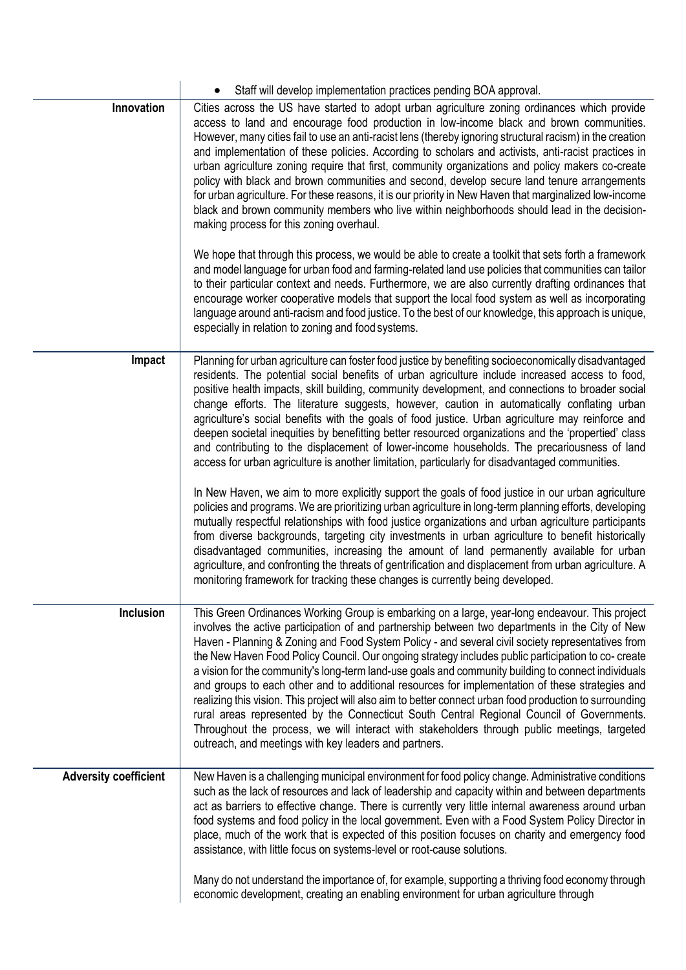|                              | Staff will develop implementation practices pending BOA approval.                                                                                                                                                                                                                                                                                                                                                                                                                                                                                                                                                                                                                                                                                                                                                                                                                                                                                                                         |
|------------------------------|-------------------------------------------------------------------------------------------------------------------------------------------------------------------------------------------------------------------------------------------------------------------------------------------------------------------------------------------------------------------------------------------------------------------------------------------------------------------------------------------------------------------------------------------------------------------------------------------------------------------------------------------------------------------------------------------------------------------------------------------------------------------------------------------------------------------------------------------------------------------------------------------------------------------------------------------------------------------------------------------|
| Innovation                   | Cities across the US have started to adopt urban agriculture zoning ordinances which provide<br>access to land and encourage food production in low-income black and brown communities.<br>However, many cities fail to use an anti-racist lens (thereby ignoring structural racism) in the creation<br>and implementation of these policies. According to scholars and activists, anti-racist practices in<br>urban agriculture zoning require that first, community organizations and policy makers co-create<br>policy with black and brown communities and second, develop secure land tenure arrangements<br>for urban agriculture. For these reasons, it is our priority in New Haven that marginalized low-income<br>black and brown community members who live within neighborhoods should lead in the decision-<br>making process for this zoning overhaul.                                                                                                                      |
|                              | We hope that through this process, we would be able to create a toolkit that sets forth a framework<br>and model language for urban food and farming-related land use policies that communities can tailor<br>to their particular context and needs. Furthermore, we are also currently drafting ordinances that<br>encourage worker cooperative models that support the local food system as well as incorporating<br>language around anti-racism and food justice. To the best of our knowledge, this approach is unique,<br>especially in relation to zoning and food systems.                                                                                                                                                                                                                                                                                                                                                                                                         |
| Impact                       | Planning for urban agriculture can foster food justice by benefiting socioeconomically disadvantaged<br>residents. The potential social benefits of urban agriculture include increased access to food,<br>positive health impacts, skill building, community development, and connections to broader social<br>change efforts. The literature suggests, however, caution in automatically conflating urban<br>agriculture's social benefits with the goals of food justice. Urban agriculture may reinforce and<br>deepen societal inequities by benefitting better resourced organizations and the 'propertied' class<br>and contributing to the displacement of lower-income households. The precariousness of land<br>access for urban agriculture is another limitation, particularly for disadvantaged communities.                                                                                                                                                                 |
|                              | In New Haven, we aim to more explicitly support the goals of food justice in our urban agriculture<br>policies and programs. We are prioritizing urban agriculture in long-term planning efforts, developing<br>mutually respectful relationships with food justice organizations and urban agriculture participants<br>from diverse backgrounds, targeting city investments in urban agriculture to benefit historically<br>disadvantaged communities, increasing the amount of land permanently available for urban<br>agriculture, and confronting the threats of gentrification and displacement from urban agriculture. A<br>monitoring framework for tracking these changes is currently being developed.                                                                                                                                                                                                                                                                           |
| Inclusion                    | This Green Ordinances Working Group is embarking on a large, year-long endeavour. This project<br>involves the active participation of and partnership between two departments in the City of New<br>Haven - Planning & Zoning and Food System Policy - and several civil society representatives from<br>the New Haven Food Policy Council. Our ongoing strategy includes public participation to co- create<br>a vision for the community's long-term land-use goals and community building to connect individuals<br>and groups to each other and to additional resources for implementation of these strategies and<br>realizing this vision. This project will also aim to better connect urban food production to surrounding<br>rural areas represented by the Connecticut South Central Regional Council of Governments.<br>Throughout the process, we will interact with stakeholders through public meetings, targeted<br>outreach, and meetings with key leaders and partners. |
| <b>Adversity coefficient</b> | New Haven is a challenging municipal environment for food policy change. Administrative conditions<br>such as the lack of resources and lack of leadership and capacity within and between departments<br>act as barriers to effective change. There is currently very little internal awareness around urban<br>food systems and food policy in the local government. Even with a Food System Policy Director in<br>place, much of the work that is expected of this position focuses on charity and emergency food<br>assistance, with little focus on systems-level or root-cause solutions.                                                                                                                                                                                                                                                                                                                                                                                           |
|                              | Many do not understand the importance of, for example, supporting a thriving food economy through<br>economic development, creating an enabling environment for urban agriculture through                                                                                                                                                                                                                                                                                                                                                                                                                                                                                                                                                                                                                                                                                                                                                                                                 |